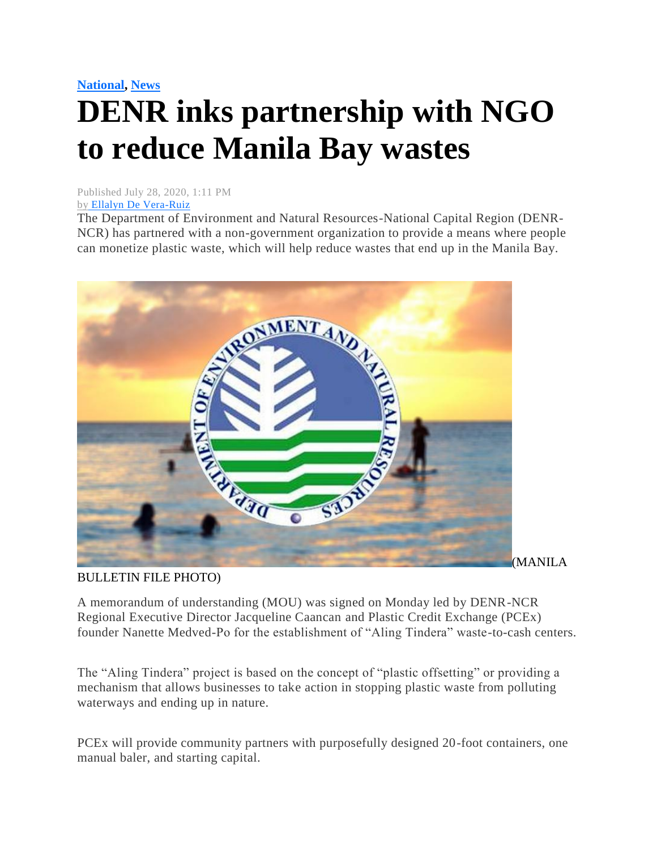## **[National,](https://mb.com.ph/category/news/national/) [News](https://mb.com.ph/category/news/) DENR inks partnership with NGO to reduce Manila Bay wastes**

Published July 28, 2020, 1:11 PM by [Ellalyn De Vera-Ruiz](https://mb.com.ph/author/ellalyn-de-vera-ruiz)

The Department of Environment and Natural Resources-National Capital Region (DENR-NCR) has partnered with a non-government organization to provide a means where people can monetize plastic waste, which will help reduce wastes that end up in the Manila Bay.



## BULLETIN FILE PHOTO)

A memorandum of understanding (MOU) was signed on Monday led by DENR-NCR Regional Executive Director Jacqueline Caancan and Plastic Credit Exchange (PCEx) founder Nanette Medved-Po for the establishment of "Aling Tindera" waste-to-cash centers.

The "Aling Tindera" project is based on the concept of "plastic offsetting" or providing a mechanism that allows businesses to take action in stopping plastic waste from polluting waterways and ending up in nature.

PCEx will provide community partners with purposefully designed 20-foot containers, one manual baler, and starting capital.